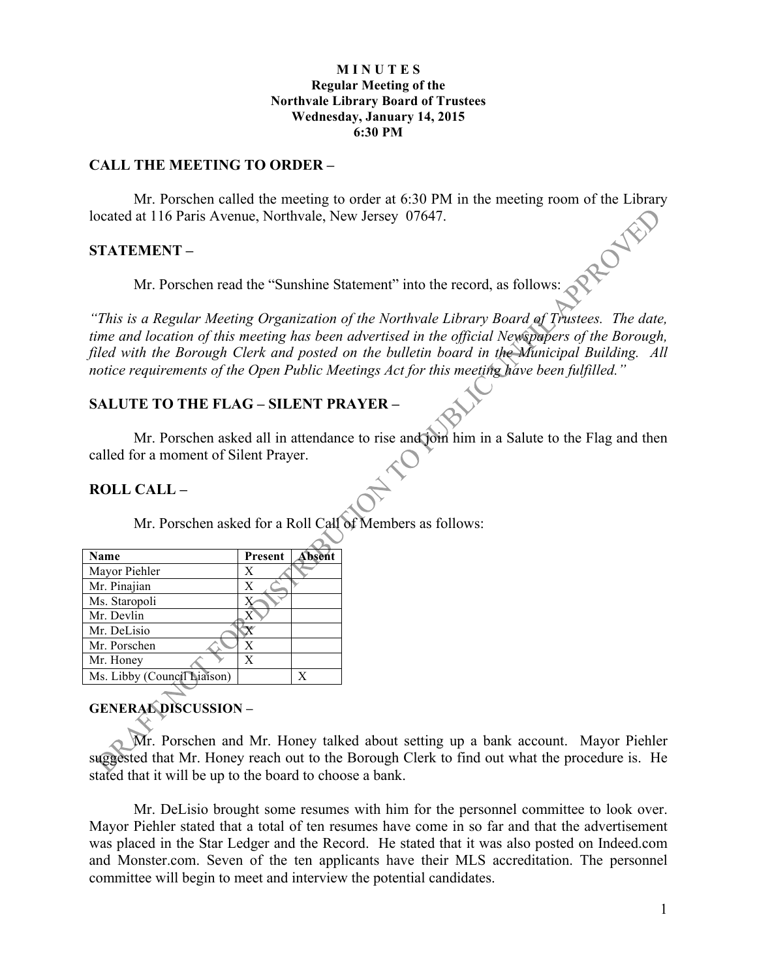#### **M I N U T E S Regular Meeting of the Northvale Library Board of Trustees Wednesday, January 14, 2015 6:30 PM**

#### **CALL THE MEETING TO ORDER –**

Mr. Porschen called the meeting to order at 6:30 PM in the meeting room of the Library at 116 Paris Avenue, Northvale, New Jersey 07647.<br>
EMENT –<br>
Mr. Porschen read the "S<sub>1</sub> located at 116 Paris Avenue, Northvale, New Jersey 07647.

#### **STATEMENT –**

Mr. Porschen read the "Sunshine Statement" into the record, as follows:

*"This is a Regular Meeting Organization of the Northvale Library Board of Trustees. The date, time and location of this meeting has been advertised in the official Newspapers of the Borough, filed with the Borough Clerk and posted on the bulletin board in the Municipal Building. All notice requirements of the Open Public Meetings Act for this meeting have been fulfilled."* 

### **SALUTE TO THE FLAG – SILENT PRAYER –**

Mr. Porschen asked all in attendance to rise and join him in a Salute to the Flag and then called for a moment of Silent Prayer.

#### **ROLL CALL –**

Mr. Porschen asked for a Roll Call of Members as follows:

| Name                        | Present | Absent |
|-----------------------------|---------|--------|
| Mayor Piehler               | X       |        |
| Mr. Pinajian                | Х       |        |
| Ms. Staropoli               |         |        |
| Mr. Devlin                  |         |        |
| Mr. DeLisio                 |         |        |
| Mr. Porschen                | X       |        |
| Mr. Honey                   | X       |        |
| Ms. Libby (Council Liaison) |         | v      |

## **GENERAL DISCUSSION –**

Mr. Porschen and Mr. Honey talked about setting up a bank account. Mayor Piehler suggested that Mr. Honey reach out to the Borough Clerk to find out what the procedure is. He stated that it will be up to the board to choose a bank.

Mr. DeLisio brought some resumes with him for the personnel committee to look over. Mayor Piehler stated that a total of ten resumes have come in so far and that the advertisement was placed in the Star Ledger and the Record. He stated that it was also posted on Indeed.com and Monster.com. Seven of the ten applicants have their MLS accreditation. The personnel committee will begin to meet and interview the potential candidates.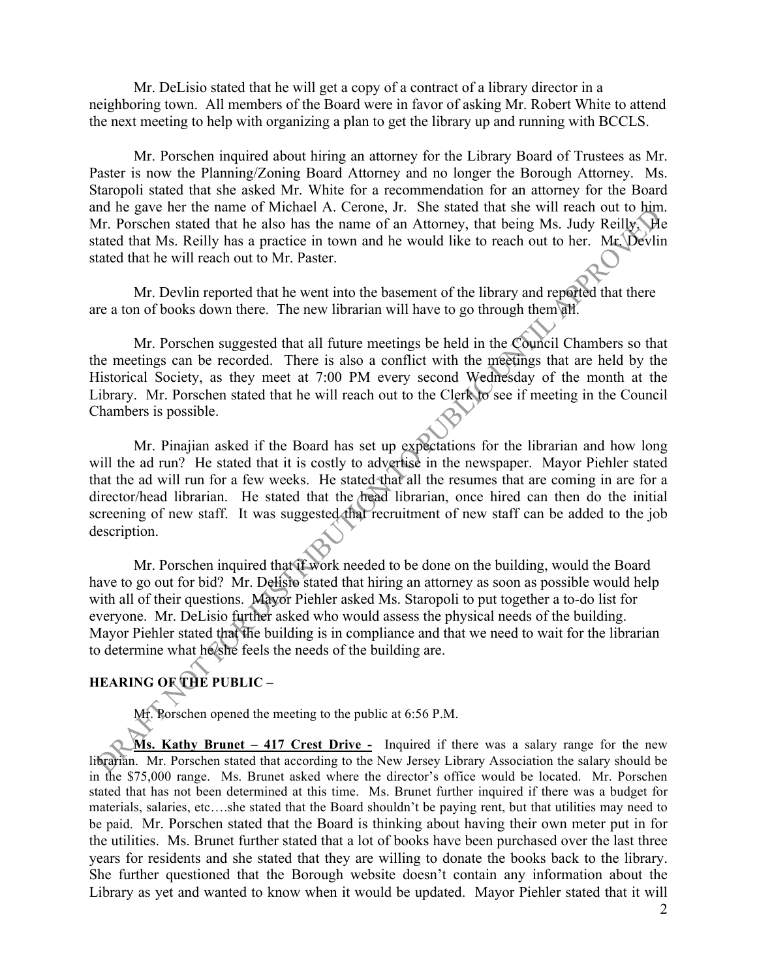Mr. DeLisio stated that he will get a copy of a contract of a library director in a neighboring town. All members of the Board were in favor of asking Mr. Robert White to attend the next meeting to help with organizing a plan to get the library up and running with BCCLS.

Mr. Porschen inquired about hiring an attorney for the Library Board of Trustees as Mr. Paster is now the Planning/Zoning Board Attorney and no longer the Borough Attorney. Ms. Staropoli stated that she asked Mr. White for a recommendation for an attorney for the Board and he gave her the name of Michael A. Cerone, Jr. She stated that she will reach out to him. Mr. Porschen stated that he also has the name of an Attorney, that being Ms. Judy Reilly. He stated that Ms. Reilly has a practice in town and he would like to reach out to her. Mr. Devlin stated that he will reach out to Mr. Paster.

Mr. Devlin reported that he went into the basement of the library and reported that there are a ton of books down there. The new librarian will have to go through them all.

Mr. Porschen suggested that all future meetings be held in the Council Chambers so that the meetings can be recorded. There is also a conflict with the meetings that are held by the Historical Society, as they meet at 7:00 PM every second Wednesday of the month at the Library. Mr. Porschen stated that he will reach out to the Clerk to see if meeting in the Council Chambers is possible.

Mr. Pinajian asked if the Board has set up expectations for the librarian and how long will the ad run? He stated that it is costly to advertise in the newspaper. Mayor Piehler stated that the ad will run for a few weeks. He stated that all the resumes that are coming in are for a director/head librarian. He stated that the head librarian, once hired can then do the initial screening of new staff. It was suggested that recruitment of new staff can be added to the job description.

Mr. Porschen inquired that if work needed to be done on the building, would the Board have to go out for bid? Mr. Delisio stated that hiring an attorney as soon as possible would help with all of their questions. Mayor Piehler asked Ms. Staropoli to put together a to-do list for everyone. Mr. DeLisio further asked who would assess the physical needs of the building. Mayor Piehler stated that the building is in compliance and that we need to wait for the librarian to determine what he/she feels the needs of the building are.

## **HEARING OF THE PUBLIC –**

Mr. Porschen opened the meeting to the public at 6:56 P.M.

**Ms. Kathy Brunet – 417 Crest Drive -** Inquired if there was a salary range for the new librarian. Mr. Porschen stated that according to the New Jersey Library Association the salary should be in the \$75,000 range. Ms. Brunet asked where the director's office would be located. Mr. Porschen stated that has not been determined at this time. Ms. Brunet further inquired if there was a budget for materials, salaries, etc….she stated that the Board shouldn't be paying rent, but that utilities may need to be paid. Mr. Porschen stated that the Board is thinking about having their own meter put in for the utilities. Ms. Brunet further stated that a lot of books have been purchased over the last three years for residents and she stated that they are willing to donate the books back to the library. She further questioned that the Borough website doesn't contain any information about the Library as yet and wanted to know when it would be updated. Mayor Piehler stated that it will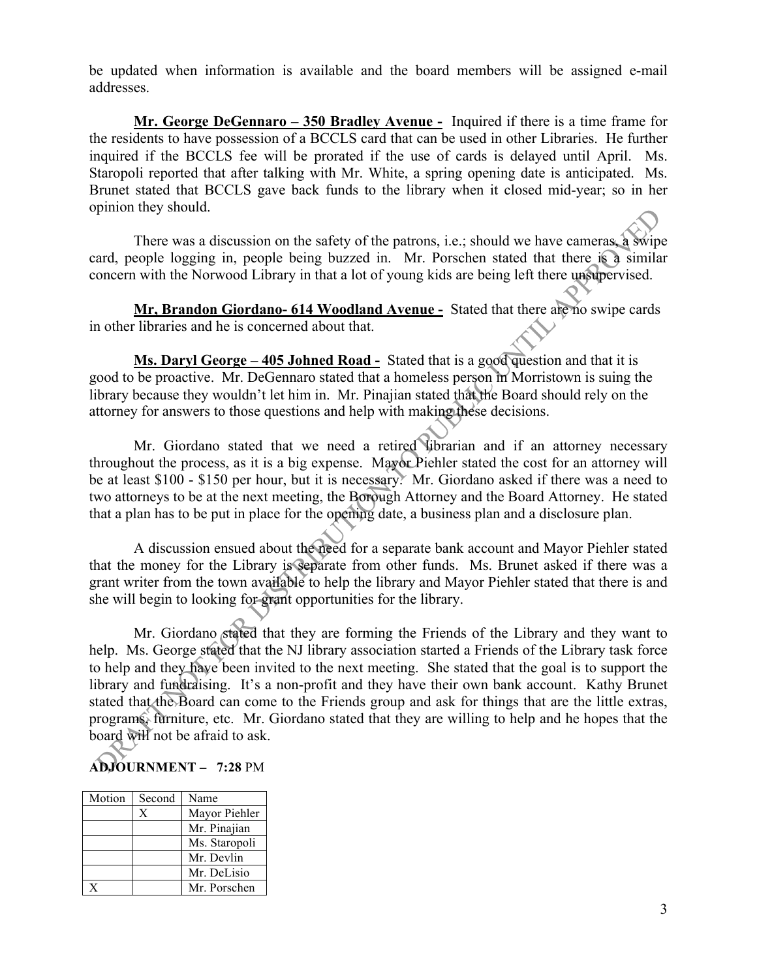be updated when information is available and the board members will be assigned e-mail addresses.

**Mr. George DeGennaro – 350 Bradley Avenue -** Inquired if there is a time frame for the residents to have possession of a BCCLS card that can be used in other Libraries. He further inquired if the BCCLS fee will be prorated if the use of cards is delayed until April. Ms. Staropoli reported that after talking with Mr. White, a spring opening date is anticipated. Ms. Brunet stated that BCCLS gave back funds to the library when it closed mid-year; so in her opinion they should.

There was a discussion on the safety of the patrons, i.e.; should we have cameras, a swipe card, people logging in, people being buzzed in. Mr. Porschen stated that there is a similar concern with the Norwood Library in that a lot of young kids are being left there unsupervised.

**Mr, Brandon Giordano- 614 Woodland Avenue -** Stated that there are no swipe cards in other libraries and he is concerned about that.

**Ms. Daryl George – 405 Johned Road -** Stated that is a good question and that it is good to be proactive. Mr. DeGennaro stated that a homeless person in Morristown is suing the library because they wouldn't let him in. Mr. Pinajian stated that the Board should rely on the attorney for answers to those questions and help with making these decisions.

Mr. Giordano stated that we need a retired librarian and if an attorney necessary throughout the process, as it is a big expense. Mayor Piehler stated the cost for an attorney will be at least \$100 - \$150 per hour, but it is necessary. Mr. Giordano asked if there was a need to two attorneys to be at the next meeting, the Borough Attorney and the Board Attorney. He stated that a plan has to be put in place for the opening date, a business plan and a disclosure plan.

A discussion ensued about the need for a separate bank account and Mayor Piehler stated that the money for the Library is separate from other funds. Ms. Brunet asked if there was a grant writer from the town available to help the library and Mayor Piehler stated that there is and she will begin to looking for grant opportunities for the library.

Mr. Giordano stated that they are forming the Friends of the Library and they want to help. Ms. George stated that the NJ library association started a Friends of the Library task force to help and they have been invited to the next meeting. She stated that the goal is to support the library and fundraising. It's a non-profit and they have their own bank account. Kathy Brunet stated that the Board can come to the Friends group and ask for things that are the little extras, programs, furniture, etc. Mr. Giordano stated that they are willing to help and he hopes that the board will not be afraid to ask.

# **ADJOURNMENT – 7:28** PM

| Motion | Second | Name          |
|--------|--------|---------------|
|        | X      | Mayor Piehler |
|        |        | Mr. Pinajian  |
|        |        | Ms. Staropoli |
|        |        | Mr. Devlin    |
|        |        | Mr. DeLisio   |
|        |        | Mr. Porschen  |